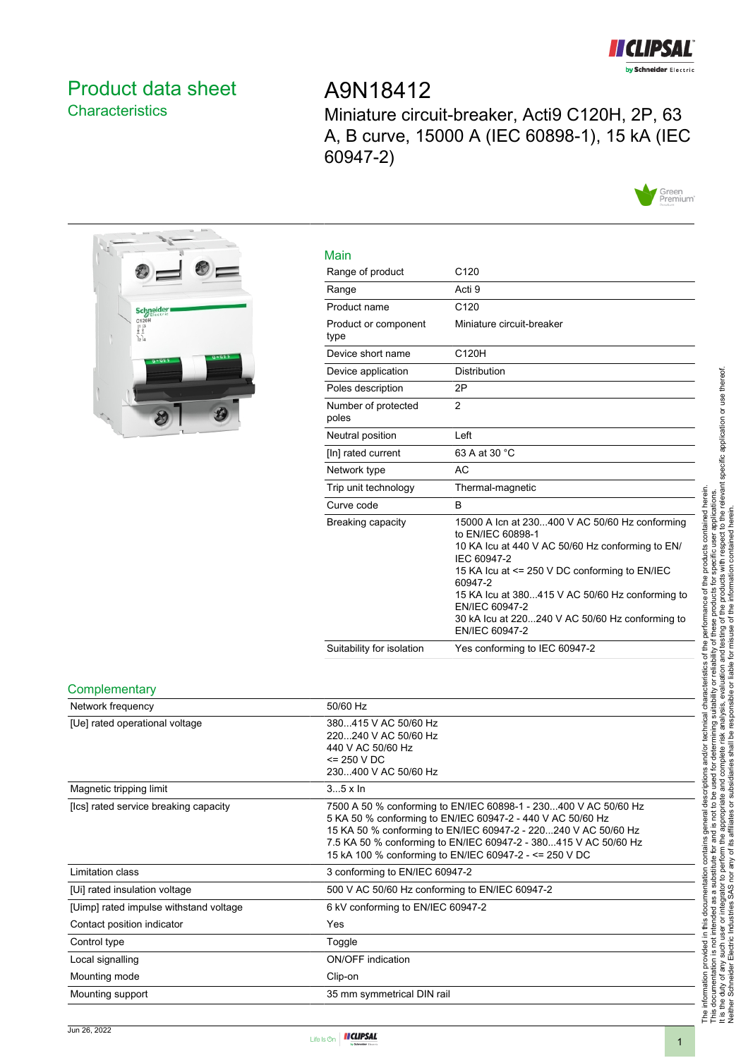

## <span id="page-0-0"></span>Product data sheet **Characteristics**

# A9N18412

Miniature circuit-breaker, Acti9 C120H, 2P, 63 A, B curve, 15000 A (IEC 60898-1), 15 kA (IEC 60947-2)





| Main                         |                                                                                                                                                                                                                                                                                                                                              |
|------------------------------|----------------------------------------------------------------------------------------------------------------------------------------------------------------------------------------------------------------------------------------------------------------------------------------------------------------------------------------------|
| Range of product             | C <sub>120</sub>                                                                                                                                                                                                                                                                                                                             |
| Range                        | Acti 9                                                                                                                                                                                                                                                                                                                                       |
| Product name                 | C <sub>120</sub>                                                                                                                                                                                                                                                                                                                             |
| Product or component<br>type | Miniature circuit-breaker                                                                                                                                                                                                                                                                                                                    |
| Device short name            | C120H                                                                                                                                                                                                                                                                                                                                        |
| Device application           | <b>Distribution</b>                                                                                                                                                                                                                                                                                                                          |
| Poles description            | 2P                                                                                                                                                                                                                                                                                                                                           |
| Number of protected<br>poles | $\mathfrak{p}$                                                                                                                                                                                                                                                                                                                               |
| Neutral position             | Left                                                                                                                                                                                                                                                                                                                                         |
| [In] rated current           | 63 A at 30 °C                                                                                                                                                                                                                                                                                                                                |
| Network type                 | AC                                                                                                                                                                                                                                                                                                                                           |
| Trip unit technology         | Thermal-magnetic                                                                                                                                                                                                                                                                                                                             |
| Curve code                   | B                                                                                                                                                                                                                                                                                                                                            |
| Breaking capacity            | 15000 A Icn at 230400 V AC 50/60 Hz conforming<br>to EN/IEC 60898-1<br>10 KA Icu at 440 V AC 50/60 Hz conforming to EN/<br>IEC 60947-2<br>15 KA Icu at <= 250 V DC conforming to EN/IEC<br>60947-2<br>15 KA Icu at 380415 V AC 50/60 Hz conforming to<br>EN/IEC 60947-2<br>30 kA Icu at 220240 V AC 50/60 Hz conforming to<br>EN/IEC 60947-2 |
| Suitability for isolation    | Yes conforming to IEC 60947-2                                                                                                                                                                                                                                                                                                                |

#### **Complementary**

| Network frequency                      | 50/60 Hz                                                                                                                                                                                                                                                                                                                     |
|----------------------------------------|------------------------------------------------------------------------------------------------------------------------------------------------------------------------------------------------------------------------------------------------------------------------------------------------------------------------------|
| [Ue] rated operational voltage         | 380415 V AC 50/60 Hz<br>220240 V AC 50/60 Hz<br>440 V AC 50/60 Hz<br>$= 250 VDC$<br>230400 V AC 50/60 Hz                                                                                                                                                                                                                     |
| Magnetic tripping limit                | $35 \times \ln$                                                                                                                                                                                                                                                                                                              |
| [Ics] rated service breaking capacity  | 7500 A 50 % conforming to EN/IEC 60898-1 - 230400 V AC 50/60 Hz<br>5 KA 50 % conforming to EN/IEC 60947-2 - 440 V AC 50/60 Hz<br>15 KA 50 % conforming to EN/IEC 60947-2 - 220240 V AC 50/60 Hz<br>7.5 KA 50 % conforming to EN/IEC 60947-2 - 380415 V AC 50/60 Hz<br>15 kA 100 % conforming to EN/IEC 60947-2 - <= 250 V DC |
| Limitation class                       | 3 conforming to EN/IEC 60947-2                                                                                                                                                                                                                                                                                               |
| [Ui] rated insulation voltage          | 500 V AC 50/60 Hz conforming to EN/IEC 60947-2                                                                                                                                                                                                                                                                               |
| [Uimp] rated impulse withstand voltage | 6 kV conforming to EN/IEC 60947-2                                                                                                                                                                                                                                                                                            |
| Contact position indicator             | Yes                                                                                                                                                                                                                                                                                                                          |
| Control type                           | Toggle                                                                                                                                                                                                                                                                                                                       |
| Local signalling                       | <b>ON/OFF</b> indication                                                                                                                                                                                                                                                                                                     |
| Mounting mode                          | Clip-on                                                                                                                                                                                                                                                                                                                      |
| Mounting support                       | 35 mm symmetrical DIN rail                                                                                                                                                                                                                                                                                                   |

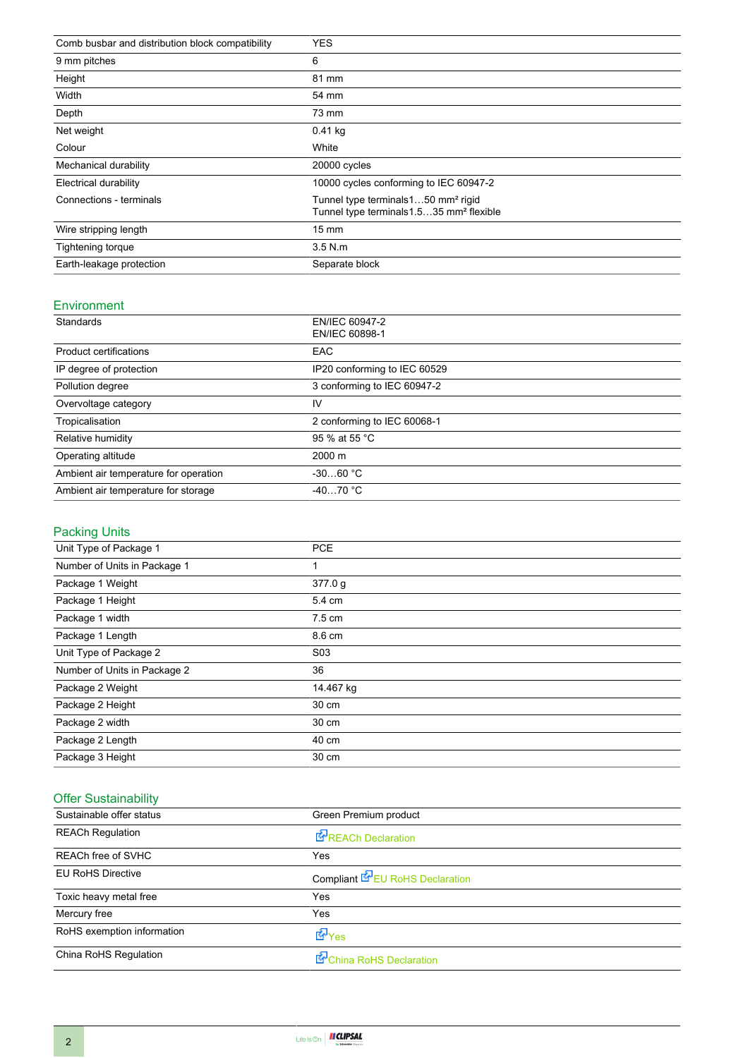| Comb busbar and distribution block compatibility | <b>YES</b>                                                                                             |
|--------------------------------------------------|--------------------------------------------------------------------------------------------------------|
| 9 mm pitches                                     | 6                                                                                                      |
| Height                                           | 81 mm                                                                                                  |
| Width                                            | 54 mm                                                                                                  |
| Depth                                            | 73 mm                                                                                                  |
| Net weight                                       | 0.41 kg                                                                                                |
| Colour                                           | White                                                                                                  |
| Mechanical durability                            | 20000 cycles                                                                                           |
| Electrical durability                            | 10000 cycles conforming to IEC 60947-2                                                                 |
| Connections - terminals                          | Tunnel type terminals150 mm <sup>2</sup> rigid<br>Tunnel type terminals 1.535 mm <sup>2</sup> flexible |
| Wire stripping length                            | $15 \text{ mm}$                                                                                        |
| Tightening torque                                | $3.5$ N.m                                                                                              |
| Earth-leakage protection                         | Separate block                                                                                         |

#### Environment

| Standards                             | EN/IEC 60947-2<br>EN/IEC 60898-1 |
|---------------------------------------|----------------------------------|
|                                       |                                  |
| <b>Product certifications</b>         | <b>EAC</b>                       |
| IP degree of protection               | IP20 conforming to IEC 60529     |
| Pollution degree                      | 3 conforming to IEC 60947-2      |
| Overvoltage category                  | IV                               |
| Tropicalisation                       | 2 conforming to IEC 60068-1      |
| Relative humidity                     | 95 % at 55 °C                    |
| Operating altitude                    | $2000 \; \text{m}$               |
| Ambient air temperature for operation | $-3060 °C$                       |
| Ambient air temperature for storage   | $-4070 °C$                       |

### Packing Units

| Unit Type of Package 1       | <b>PCE</b>       |
|------------------------------|------------------|
| Number of Units in Package 1 |                  |
| Package 1 Weight             | 377.0 g          |
| Package 1 Height             | 5.4 cm           |
| Package 1 width              | $7.5 \text{ cm}$ |
| Package 1 Length             | 8.6 cm           |
| Unit Type of Package 2       | S <sub>0</sub> 3 |
| Number of Units in Package 2 | 36               |
| Package 2 Weight             | 14.467 kg        |
| Package 2 Height             | 30 cm            |
| Package 2 width              | 30 cm            |
| Package 2 Length             | 40 cm            |
| Package 3 Height             | 30 cm            |

#### Offer Sustainability

| Sustainable offer status   | Green Premium product                  |
|----------------------------|----------------------------------------|
| <b>REACh Regulation</b>    | REACh Declaration                      |
| <b>REACh free of SVHC</b>  | Yes                                    |
| <b>EU RoHS Directive</b>   | Compliant <b>E</b> EU RoHS Declaration |
| Toxic heavy metal free     | Yes                                    |
| Mercury free               | Yes                                    |
| RoHS exemption information | dor <sub>Yes</sub>                     |
| China RoHS Regulation      | China RoHS Declaration                 |